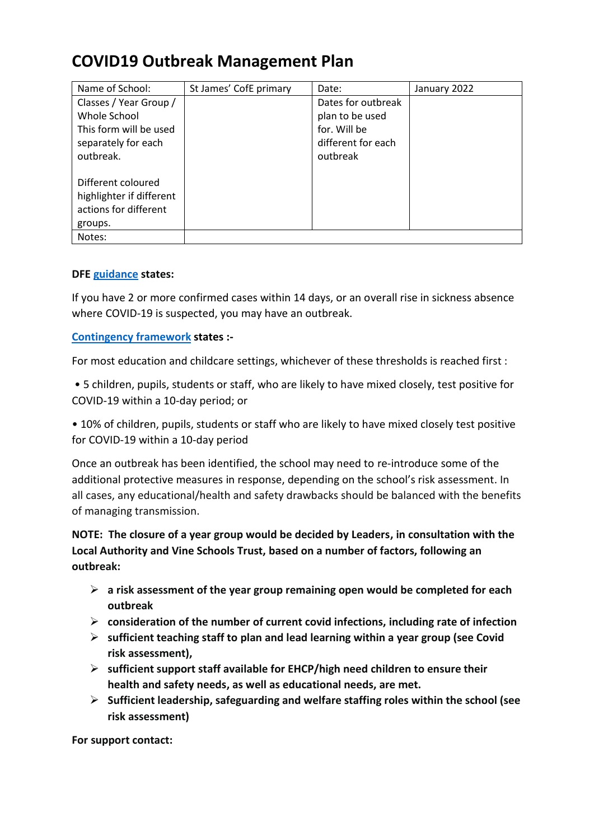## **COVID19 Outbreak Management Plan**

| Name of School:                                                                                      | St James' CofE primary | Date:                                                                                   | January 2022 |
|------------------------------------------------------------------------------------------------------|------------------------|-----------------------------------------------------------------------------------------|--------------|
| Classes / Year Group /<br>Whole School<br>This form will be used<br>separately for each<br>outbreak. |                        | Dates for outbreak<br>plan to be used<br>for. Will be<br>different for each<br>outbreak |              |
| Different coloured<br>highlighter if different<br>actions for different<br>groups.                   |                        |                                                                                         |              |
| Notes:                                                                                               |                        |                                                                                         |              |

## **DFE [guidance](https://www.gov.uk/government/publications/actions-for-schools-during-the-coronavirus-outbreak/schools-coronavirus-covid-19-operational-guidance#facecoverings) states:**

If you have 2 or more confirmed cases within 14 days, or an overall rise in sickness absence where COVID-19 is suspected, you may have an outbreak.

## **[Contingency framework](https://www.gov.uk/government/publications/coronavirus-covid-19-local-restrictions-in-education-and-childcare-settings?utm_medium=email&utm_campaign=govuk-notifications&utm_source=f75efe81-efb1-40ab-bae6-f57a074b6f05&utm_content=immediately) states :-**

For most education and childcare settings, whichever of these thresholds is reached first :

• 5 children, pupils, students or staff, who are likely to have mixed closely, test positive for COVID-19 within a 10-day period; or

• 10% of children, pupils, students or staff who are likely to have mixed closely test positive for COVID-19 within a 10-day period

Once an outbreak has been identified, the school may need to re-introduce some of the additional protective measures in response, depending on the school's risk assessment. In all cases, any educational/health and safety drawbacks should be balanced with the benefits of managing transmission.

**NOTE: The closure of a year group would be decided by Leaders, in consultation with the Local Authority and Vine Schools Trust, based on a number of factors, following an outbreak:**

- ➢ **a risk assessment of the year group remaining open would be completed for each outbreak**
- ➢ **consideration of the number of current covid infections, including rate of infection**
- ➢ **sufficient teaching staff to plan and lead learning within a year group (see Covid risk assessment),**
- ➢ **sufficient support staff available for EHCP/high need children to ensure their health and safety needs, as well as educational needs, are met.**
- ➢ **Sufficient leadership, safeguarding and welfare staffing roles within the school (see risk assessment)**

**For support contact:**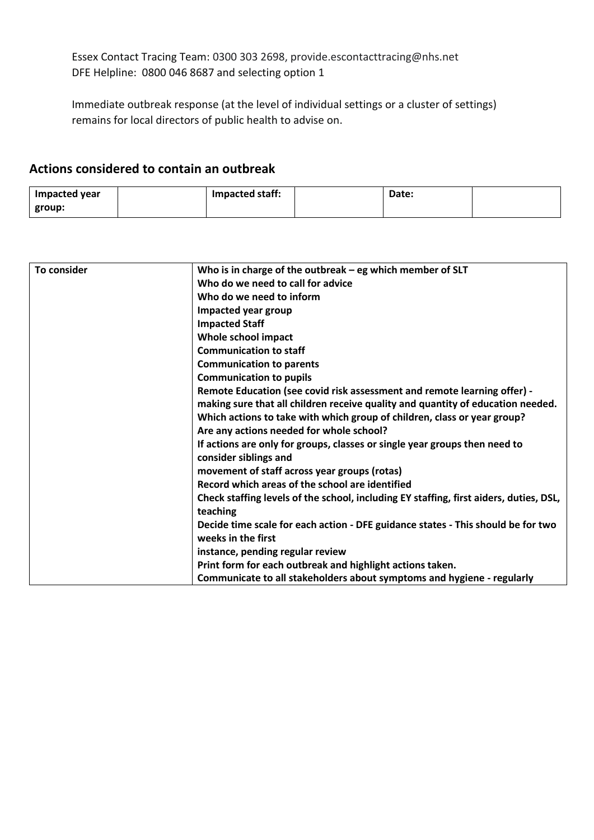Essex Contact Tracing Team: 0300 303 2698, provide.escontacttracing@nhs.net DFE Helpline: 0800 046 8687 and selecting option 1

Immediate outbreak response (at the level of individual settings or a cluster of settings) remains for local directors of public health to advise on.

## **Actions considered to contain an outbreak**

| <b>Impacted year</b> | Impacted staff: | Date: |  |
|----------------------|-----------------|-------|--|
| group:               |                 |       |  |

| To consider | Who is in charge of the outbreak $-$ eg which member of SLT                            |
|-------------|----------------------------------------------------------------------------------------|
|             | Who do we need to call for advice                                                      |
|             | Who do we need to inform                                                               |
|             | Impacted year group                                                                    |
|             | <b>Impacted Staff</b>                                                                  |
|             | Whole school impact                                                                    |
|             | <b>Communication to staff</b>                                                          |
|             | <b>Communication to parents</b>                                                        |
|             | <b>Communication to pupils</b>                                                         |
|             | Remote Education (see covid risk assessment and remote learning offer) -               |
|             | making sure that all children receive quality and quantity of education needed.        |
|             | Which actions to take with which group of children, class or year group?               |
|             | Are any actions needed for whole school?                                               |
|             | If actions are only for groups, classes or single year groups then need to             |
|             | consider siblings and                                                                  |
|             | movement of staff across year groups (rotas)                                           |
|             | Record which areas of the school are identified                                        |
|             | Check staffing levels of the school, including EY staffing, first aiders, duties, DSL, |
|             | teaching                                                                               |
|             | Decide time scale for each action - DFE guidance states - This should be for two       |
|             | weeks in the first                                                                     |
|             | instance, pending regular review                                                       |
|             | Print form for each outbreak and highlight actions taken.                              |
|             | Communicate to all stakeholders about symptoms and hygiene - regularly                 |
|             |                                                                                        |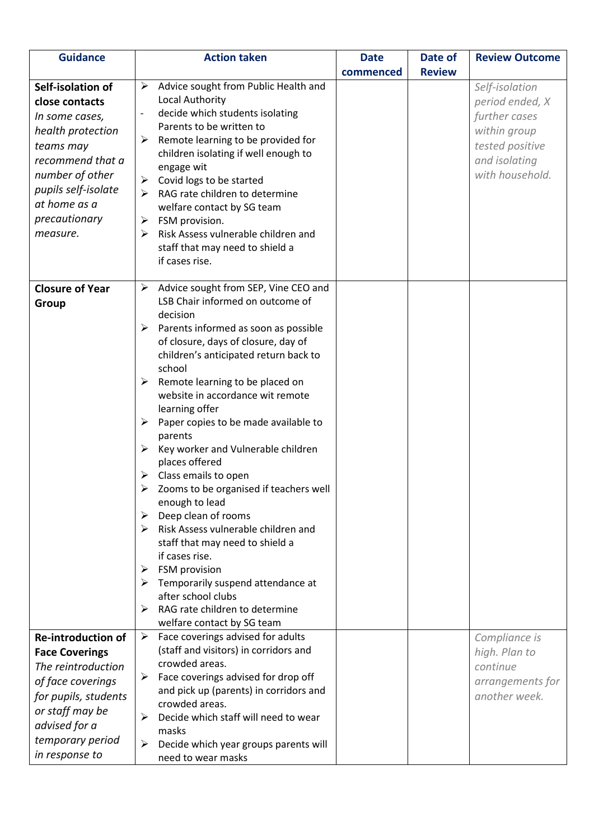| <b>Guidance</b>                                                                                                                                                                                    | <b>Action taken</b>                                                                                                                                                                                                                                                                                                                                                                                                                                                                        | <b>Date</b> | Date of       | <b>Review Outcome</b>                                                                                                     |
|----------------------------------------------------------------------------------------------------------------------------------------------------------------------------------------------------|--------------------------------------------------------------------------------------------------------------------------------------------------------------------------------------------------------------------------------------------------------------------------------------------------------------------------------------------------------------------------------------------------------------------------------------------------------------------------------------------|-------------|---------------|---------------------------------------------------------------------------------------------------------------------------|
|                                                                                                                                                                                                    |                                                                                                                                                                                                                                                                                                                                                                                                                                                                                            | commenced   | <b>Review</b> |                                                                                                                           |
| Self-isolation of<br>close contacts<br>In some cases,<br>health protection<br>teams may<br>recommend that a<br>number of other<br>pupils self-isolate<br>at home as a<br>precautionary<br>measure. | Advice sought from Public Health and<br>➤<br>Local Authority<br>decide which students isolating<br>$\qquad \qquad \blacksquare$<br>Parents to be written to<br>Remote learning to be provided for<br>➤<br>children isolating if well enough to<br>engage wit<br>Covid logs to be started<br>➤<br>RAG rate children to determine<br>➤<br>welfare contact by SG team<br>FSM provision.<br>➤<br>Risk Assess vulnerable children and<br>➤<br>staff that may need to shield a<br>if cases rise. |             |               | Self-isolation<br>period ended, X<br>further cases<br>within group<br>tested positive<br>and isolating<br>with household. |
| <b>Closure of Year</b>                                                                                                                                                                             | Advice sought from SEP, Vine CEO and<br>➤                                                                                                                                                                                                                                                                                                                                                                                                                                                  |             |               |                                                                                                                           |
| Group                                                                                                                                                                                              | LSB Chair informed on outcome of                                                                                                                                                                                                                                                                                                                                                                                                                                                           |             |               |                                                                                                                           |
|                                                                                                                                                                                                    | decision<br>Parents informed as soon as possible<br>➤                                                                                                                                                                                                                                                                                                                                                                                                                                      |             |               |                                                                                                                           |
|                                                                                                                                                                                                    | of closure, days of closure, day of                                                                                                                                                                                                                                                                                                                                                                                                                                                        |             |               |                                                                                                                           |
|                                                                                                                                                                                                    | children's anticipated return back to                                                                                                                                                                                                                                                                                                                                                                                                                                                      |             |               |                                                                                                                           |
|                                                                                                                                                                                                    | school                                                                                                                                                                                                                                                                                                                                                                                                                                                                                     |             |               |                                                                                                                           |
|                                                                                                                                                                                                    | Remote learning to be placed on<br>➤<br>website in accordance wit remote                                                                                                                                                                                                                                                                                                                                                                                                                   |             |               |                                                                                                                           |
|                                                                                                                                                                                                    | learning offer                                                                                                                                                                                                                                                                                                                                                                                                                                                                             |             |               |                                                                                                                           |
|                                                                                                                                                                                                    | Paper copies to be made available to<br>➤                                                                                                                                                                                                                                                                                                                                                                                                                                                  |             |               |                                                                                                                           |
|                                                                                                                                                                                                    | parents                                                                                                                                                                                                                                                                                                                                                                                                                                                                                    |             |               |                                                                                                                           |
|                                                                                                                                                                                                    | Key worker and Vulnerable children<br>➤<br>places offered                                                                                                                                                                                                                                                                                                                                                                                                                                  |             |               |                                                                                                                           |
|                                                                                                                                                                                                    | Class emails to open<br>➤                                                                                                                                                                                                                                                                                                                                                                                                                                                                  |             |               |                                                                                                                           |
|                                                                                                                                                                                                    | Zooms to be organised if teachers well<br>➤                                                                                                                                                                                                                                                                                                                                                                                                                                                |             |               |                                                                                                                           |
|                                                                                                                                                                                                    | enough to lead                                                                                                                                                                                                                                                                                                                                                                                                                                                                             |             |               |                                                                                                                           |
|                                                                                                                                                                                                    | Deep clean of rooms<br>➤                                                                                                                                                                                                                                                                                                                                                                                                                                                                   |             |               |                                                                                                                           |
|                                                                                                                                                                                                    | Risk Assess vulnerable children and<br>➤                                                                                                                                                                                                                                                                                                                                                                                                                                                   |             |               |                                                                                                                           |
|                                                                                                                                                                                                    | staff that may need to shield a<br>if cases rise.                                                                                                                                                                                                                                                                                                                                                                                                                                          |             |               |                                                                                                                           |
|                                                                                                                                                                                                    | FSM provision<br>➤                                                                                                                                                                                                                                                                                                                                                                                                                                                                         |             |               |                                                                                                                           |
|                                                                                                                                                                                                    | Temporarily suspend attendance at<br>➤                                                                                                                                                                                                                                                                                                                                                                                                                                                     |             |               |                                                                                                                           |
|                                                                                                                                                                                                    | after school clubs                                                                                                                                                                                                                                                                                                                                                                                                                                                                         |             |               |                                                                                                                           |
|                                                                                                                                                                                                    | RAG rate children to determine                                                                                                                                                                                                                                                                                                                                                                                                                                                             |             |               |                                                                                                                           |
|                                                                                                                                                                                                    | welfare contact by SG team                                                                                                                                                                                                                                                                                                                                                                                                                                                                 |             |               |                                                                                                                           |
| <b>Re-introduction of</b>                                                                                                                                                                          | Face coverings advised for adults<br>➤<br>(staff and visitors) in corridors and                                                                                                                                                                                                                                                                                                                                                                                                            |             |               | Compliance is                                                                                                             |
| <b>Face Coverings</b><br>The reintroduction                                                                                                                                                        | crowded areas.                                                                                                                                                                                                                                                                                                                                                                                                                                                                             |             |               | high. Plan to<br>continue                                                                                                 |
| of face coverings                                                                                                                                                                                  | Face coverings advised for drop off<br>➤                                                                                                                                                                                                                                                                                                                                                                                                                                                   |             |               | arrangements for                                                                                                          |
| for pupils, students                                                                                                                                                                               | and pick up (parents) in corridors and                                                                                                                                                                                                                                                                                                                                                                                                                                                     |             |               | another week.                                                                                                             |
| or staff may be                                                                                                                                                                                    | crowded areas.                                                                                                                                                                                                                                                                                                                                                                                                                                                                             |             |               |                                                                                                                           |
| advised for a                                                                                                                                                                                      | Decide which staff will need to wear<br>≻                                                                                                                                                                                                                                                                                                                                                                                                                                                  |             |               |                                                                                                                           |
| temporary period                                                                                                                                                                                   | masks<br>Decide which year groups parents will<br>➤                                                                                                                                                                                                                                                                                                                                                                                                                                        |             |               |                                                                                                                           |
| in response to                                                                                                                                                                                     | need to wear masks                                                                                                                                                                                                                                                                                                                                                                                                                                                                         |             |               |                                                                                                                           |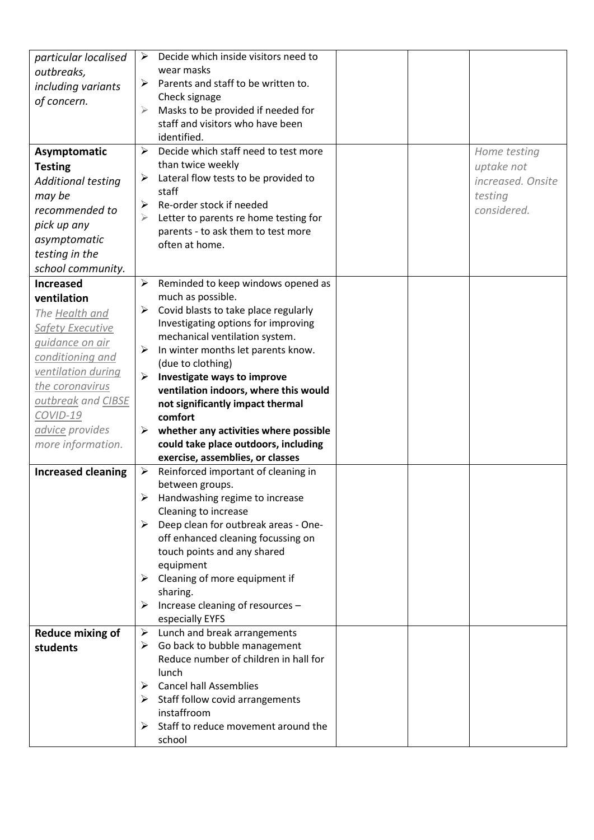| particular localised<br>outbreaks,<br>including variants<br>of concern.                                                                                                                                                                       | Decide which inside visitors need to<br>➤<br>wear masks<br>Parents and staff to be written to.<br>≻<br>Check signage<br>Masks to be provided if needed for<br>$\blacktriangleright$<br>staff and visitors who have been<br>identified.                                                                                                                                                                                                                                                                                       |                                                                           |
|-----------------------------------------------------------------------------------------------------------------------------------------------------------------------------------------------------------------------------------------------|------------------------------------------------------------------------------------------------------------------------------------------------------------------------------------------------------------------------------------------------------------------------------------------------------------------------------------------------------------------------------------------------------------------------------------------------------------------------------------------------------------------------------|---------------------------------------------------------------------------|
| Asymptomatic<br><b>Testing</b><br>Additional testing<br>may be<br>recommended to<br>pick up any<br>asymptomatic<br>testing in the<br>school community.                                                                                        | Decide which staff need to test more<br>≻<br>than twice weekly<br>Lateral flow tests to be provided to<br>➤<br>staff<br>Re-order stock if needed<br>≻<br>Letter to parents re home testing for<br>⋗<br>parents - to ask them to test more<br>often at home.                                                                                                                                                                                                                                                                  | Home testing<br>uptake not<br>increased. Onsite<br>testing<br>considered. |
| <b>Increased</b><br>ventilation<br>The Health and<br><b>Safety Executive</b><br><i>guidance on air</i><br>conditioning and<br>ventilation during<br>the coronavirus<br>outbreak and CIBSE<br>COVID-19<br>advice provides<br>more information. | ➤<br>Reminded to keep windows opened as<br>much as possible.<br>Covid blasts to take place regularly<br>➤<br>Investigating options for improving<br>mechanical ventilation system.<br>$\blacktriangleright$<br>In winter months let parents know.<br>(due to clothing)<br>Investigate ways to improve<br>➤<br>ventilation indoors, where this would<br>not significantly impact thermal<br>comfort<br>whether any activities where possible<br>➤<br>could take place outdoors, including<br>exercise, assemblies, or classes |                                                                           |
| <b>Increased cleaning</b><br><b>Reduce mixing of</b>                                                                                                                                                                                          | Reinforced important of cleaning in<br>≻<br>between groups.<br>Handwashing regime to increase<br>Cleaning to increase<br>Deep clean for outbreak areas - One-<br>➤<br>off enhanced cleaning focussing on<br>touch points and any shared<br>equipment<br>Cleaning of more equipment if<br>➤<br>sharing.<br>Increase cleaning of resources -<br>➤<br>especially EYFS<br>Lunch and break arrangements<br>➤                                                                                                                      |                                                                           |
| students                                                                                                                                                                                                                                      | Go back to bubble management<br>➤<br>Reduce number of children in hall for<br>lunch<br><b>Cancel hall Assemblies</b><br>$\blacktriangleright$<br>$\triangleright$ Staff follow covid arrangements<br>instaffroom<br>Staff to reduce movement around the<br>➤<br>school                                                                                                                                                                                                                                                       |                                                                           |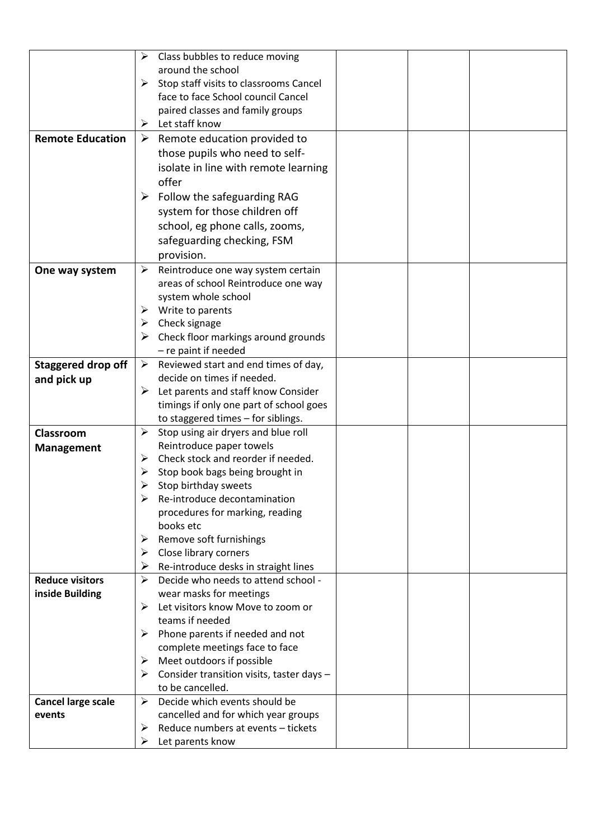|                           | Class bubbles to reduce moving<br>➤                                     |
|---------------------------|-------------------------------------------------------------------------|
|                           | around the school                                                       |
|                           | $\triangleright$ Stop staff visits to classrooms Cancel                 |
|                           | face to face School council Cancel                                      |
|                           | paired classes and family groups                                        |
|                           | $\triangleright$ Let staff know                                         |
| <b>Remote Education</b>   | Remote education provided to<br>➤                                       |
|                           | those pupils who need to self-                                          |
|                           | isolate in line with remote learning                                    |
|                           | offer                                                                   |
|                           | $\triangleright$ Follow the safeguarding RAG                            |
|                           | system for those children off                                           |
|                           | school, eg phone calls, zooms,                                          |
|                           | safeguarding checking, FSM                                              |
|                           | provision.                                                              |
|                           |                                                                         |
| One way system            | ➤<br>Reintroduce one way system certain                                 |
|                           | areas of school Reintroduce one way                                     |
|                           | system whole school                                                     |
|                           | Write to parents<br>➤                                                   |
|                           | $\triangleright$ Check signage                                          |
|                           | Check floor markings around grounds<br>➤                                |
|                           | - re paint if needed                                                    |
| <b>Staggered drop off</b> | Reviewed start and end times of day,<br>➤<br>decide on times if needed. |
| and pick up               |                                                                         |
|                           | Let parents and staff know Consider<br>➤                                |
|                           | timings if only one part of school goes                                 |
|                           | to staggered times - for siblings.                                      |
| Classroom                 | Stop using air dryers and blue roll<br>➤                                |
| <b>Management</b>         | Reintroduce paper towels                                                |
|                           | Check stock and reorder if needed.<br>➤                                 |
|                           | Stop book bags being brought in<br>➤                                    |
|                           | Stop birthday sweets                                                    |
|                           | Re-introduce decontamination                                            |
|                           | procedures for marking, reading<br>books etc                            |
|                           |                                                                         |
|                           | Remove soft furnishings<br>➤<br>Close library corners<br>➤              |
|                           | Re-introduce desks in straight lines<br>➤                               |
| <b>Reduce visitors</b>    | $\blacktriangleright$<br>Decide who needs to attend school -            |
| inside Building           | wear masks for meetings                                                 |
|                           | Let visitors know Move to zoom or<br>➤                                  |
|                           | teams if needed                                                         |
|                           | Phone parents if needed and not<br>➤                                    |
|                           | complete meetings face to face                                          |
|                           | Meet outdoors if possible<br>➤                                          |
|                           | Consider transition visits, taster days -<br>➤                          |
|                           | to be cancelled.                                                        |
| <b>Cancel large scale</b> | Decide which events should be<br>➤                                      |
| events                    | cancelled and for which year groups                                     |
|                           | Reduce numbers at events - tickets                                      |
|                           | ➤                                                                       |
|                           | Let parents know<br>➤                                                   |